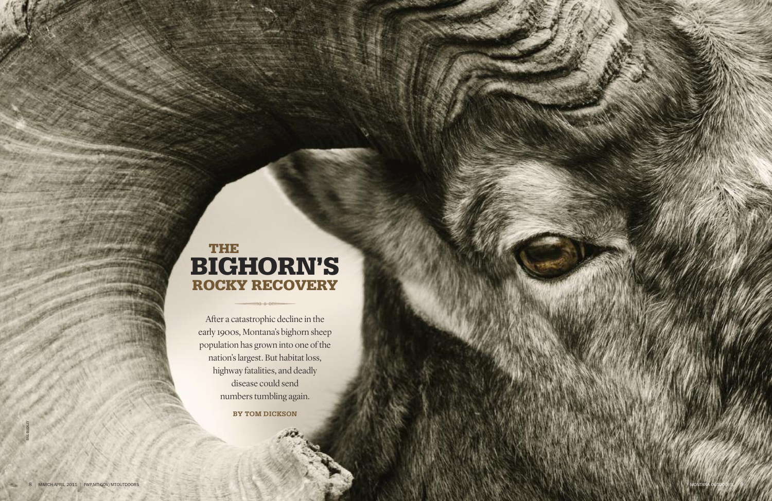# **T H E BIGHORN'S ROCKY RECOVERY**

After a catastrophic decline in the early 1900s, Montana's bighorn sheep population has grown into one of the nation's largest. But habitat loss, highway fatalities, and deadly disease could send numbers tumbling again.

**BY TOM DICKSON** 

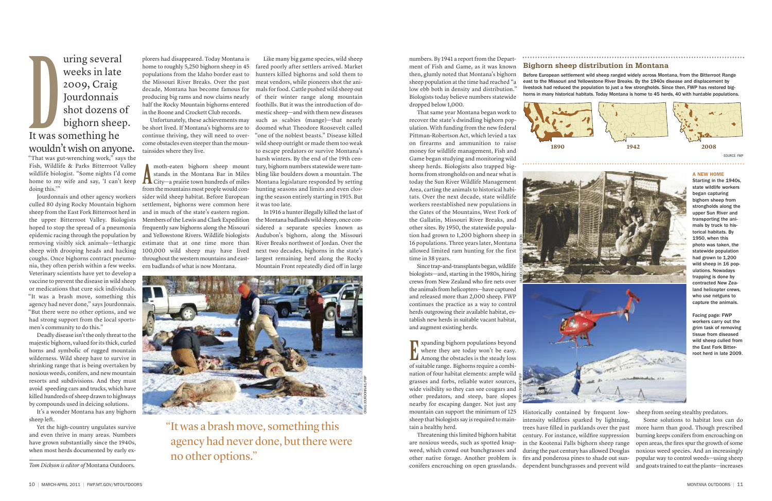numbers. By 1941 a report from the Department of Fish and Game, as it was known then, glumly noted that Montana's bighorn sheep population at the time had reached "a low ebb both in density and distribution." Biologists today believe numbers statewide dropped below 1,000.

That same year Montana began work to recover the state's dwindling bighorn population. With funding from the new federal Pittman-Robertson Act, which levied a tax on firearms and ammunition to raise money for wildlife management, Fish and Game began studying and monitoring wild sheep herds. Biologists also trapped bighorns from strongholds on and near what is today the Sun River Wildlife Management Area, carting the animals to historical habitats. Over the next decade, state wildlife workers reestablished new populations in the Gates of the Mountains, West Fork of the Gallatin, Missouri River Breaks, and other sites. By 1950, the statewide population had grown to 1,200 bighorn sheep in 16 populations. Three years later, Montana allowed limited ram hunting for the first time in 38 years.

Since trap-and-transplants began, wildlife biologists—and, starting in the 1980s, hiring crews from New Zealand who fire nets over the animals from helicopters—have captured and released more than 2,000 sheep. FWP continues the practice as a way to control herds outgrowing their available habitat, establish new herds in suitable vacant habitat, and augment existing herds.

**xpanding bighorn populations beyond** where they are today won't be easy. Xpanding bighorn populations beyond<br>
where they are today won't be easy.<br>
Among the obstacles is the steady loss of suitable range. Bighorns require a combination of four habitat elements: ample wild grasses and forbs, reliable water sources, wide visibility so they can see cougars and other predators, and steep, bare slopes nearby for escaping danger. Not just any mountain can support the minimum of 125 sheep that biologists say is required to maintain a healthy herd.

Threatening this limited bighorn habitat are noxious weeds, such as spotted knapweed, which crowd out bunchgrasses and other native forage. Another problem is conifers encroaching on open grasslands.

Deadly disease isn't the only threat to the majestic bighorn, valued forits thick, curled horns and symbolic of rugged mountain wilderness. Wild sheep have to survive in shrinking range that is being overtaken by noxious weeds, conifers, and new mountain resorts and subdivisions. And they must avoid speeding cars and trucks, which have killed hundreds of sheep drawn to highways by compounds used in deicing solutions.

Historically contained by frequent lowintensity wildfires sparked by lightning, trees have filled in parklands over the past century. For instance, wildfire suppression in the Kootenai Falls bighorn sheep range during the past century has allowed Douglas firs and ponderosa pines to shade out sundependent bunchgrasses and prevent wild

sheep from seeing stealthy predators.

Some solutions to habitat loss can do more harm than good. Though prescribed burning keeps conifers from encroaching on open areas, the fires spurthe growth of some noxious weed species. And an increasingly popular way to control weeds—using sheep and goats trained to eatthe plants—increases

"That was gut-wrenching work," says the Fish, Wildlife & Parks Bitterroot Valley wildlife biologist. "Some nights I'd come home to my wife and say, 'I can't keep doing this.'"

Jourdonnais and other agency workers culled 80 dying Rocky Mountain bighorn sheep from the East Fork Bitterroot herd in the upper Bitterroot Valley. Biologists hoped to stop the spread of a pneumonia epidemic racing through the population by removing visibly sick animals—lethargic sheep with drooping heads and hacking coughs. Once bighorns contract pneumonia, they often perish within a few weeks. Veterinary scientists have yet to develop a vaccine to prevent the disease in wild sheep or medications that cure sick individuals. "It was a brash move, something this agency had never done," says Jourdonnais. "But there were no other options, and we had strong support from the local sportsmen's community to do this."

It's a wonder Montana has any bighorn sheep left.

Yet the high-country ungulates survive and even thrive in many areas. Numbers have grown substantially since the 1940s, when most herds documented by early ex-

plorers had disappeared. Today Montana is home to roughly 5,250 bighorn sheep in 45 populations from the Idaho border east to the Missouri River Breaks. Over the past decade, Montana has become famous for producing big rams and now claims nearly half the Rocky Mountain bighorns entered in the Boone and Crockett Club records.

Unfortunately, these achievements may be short lived. If Montana's bighorns are to continue thriving, they will need to overcome obstacles even steeperthan the mountainsides where they live.

moth-eaten bighorn sheep mount stands in the Montana Bar in Miles moth-eaten bighorn sheep mount<br>stands in the Montana Bar in Miles<br>City—a prairie town hundreds of miles from the mountains most people would consider wild sheep habitat. Before European settlement, bighorns were common here and in much of the state's eastern region. Members of the Lewis and Clark Expedition frequently saw bighorns along the Missouri and Yellowstone Rivers. Wildlife biologists estimate that at one time more than 100,000 wild sheep may have lived throughout the western mountains and eastern badlands of what is now Montana.

Like many big game species, wild sheep fared poorly after settlers arrived. Market hunters killed bighorns and sold them to meat vendors, while pioneers shot the animals forfood. Cattle pushed wild sheep out of their winter range along mountain foothills. But it was the introduction of domestic sheep—and with them new diseases such as scabies (mange)—that nearly doomed what Theodore Roosevelt called "one of the noblest beasts." Disease killed wild sheep outright or made them too weak to escape predators or survive Montana's harsh winters. By the end of the 19th century, bighorn numbers statewide were tumbling like boulders down a mountain. The Montana legislature responded by setting hunting seasons and limits and even closing the season entirely starting in 1915. But it was too late.

In 1916 a hunterillegally killed the last of the Montana badlands wild sheep, once considered a separate species known as Audubon's bighorn, along the Missouri River Breaks northwest of Jordan. Over the next two decades, bighorns in the state's largest remaining herd along the Rocky Mountain Front repeatedly died off in large

*Tom Dickson is editor of* Montana Outdoors*.*

"It was a brash move, something this agency had never done, but there were no other options."

### **Bighorn sheep distribution in Montana**

Before European settlement wild sheep ranged widely across Montana, from the Bitterroot Range east to the Missouri and Yellowstone River Breaks. By the 1940s disease and displacement by livestock had reduced the population to just a few strongholds. Since then, FWP has restored bighorns in many historical habitats. Today Montana is home to 45 herds, 40 with huntable populations.



### **A NEW HOME**

SOURCE: FW

Starting in the 1940s, state wildlife workers began capturing bighorn sheep from strongholds along the upper Sun River and transporting the animals by truck to historical habitats. By 1950, when this photo was taken, the statewide population had grown to 1,200 wild sheep in 16 populations. Nowadays trapping is done by contracted New Zealand helicopter crews, who use netguns to capture the animals.

Facing page: FWP workers carry out the grim task of removing tissue from diseased wild sheep culled from the East Fork Bitterroot herd in late 2009.







uring several weeks in late 2009, Craig Jourdonnais shot dozens of bighorn sheep. The United States in the Magnetics States of the United States States States States States States States States States States States States States States States States States States States States States States States State wouldn 't wish on anyone.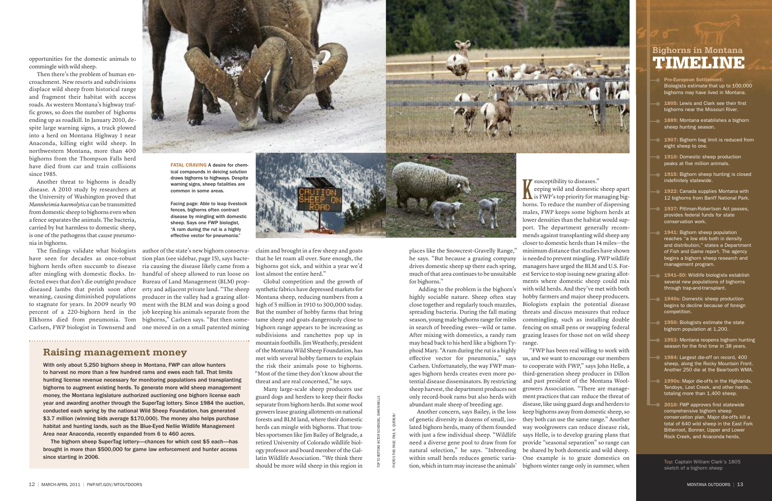opportunities for the domestic animals to commingle with wild sheep.

Then there's the problem of human encroachment. New resorts and subdivisions displace wild sheep from historical range and fragment their habitat with access roads. As western Montana's highway traffic grows, so does the number of bighorns ending up as roadkill. In January 2010, despite large warning signs, a truck plowed into a herd on Montana Highway 1 near Anaconda, killing eight wild sheep. In northwestern Montana, more than 400 bighorns from the Thompson Falls herd have died from car and train collisions since 1985.

Another threat to bighorns is deadly disease. A 2010 study by researchers at the University of Washington proved that *Mannheimia haemolytica* can be transmitted from domestic sheep to bighorns even when a fence separates the animals. The bacteria, carried by but harmless to domestic sheep, is one of the pathogens that cause pneumonia in bighorns.

The findings validate what biologists have seen for decades as once-robust bighorn herds often succumb to disease after mingling with domestic flocks. Infected ewes that don't die outright produce Bureau of Land Management (BLM) propdiseased lambs that perish soon after erty and adjacent private land. "The sheep weaning, causing diminished populations producer in the valley had a grazing allotto stagnate for years. In 2009 nearly 90 percent of a 220-bighorn herd in the Elkhorns died from pneumonia. Tom Carlsen, FWP biologist in Townsend and



author of the state's new bighorn conservation plan (see sidebar, page 15), says bacteria causing the disease likely came from a handful of sheep allowed to run loose on ment with the BLM and was doing a good job keeping his animals separate from the bighorns," Carlsen says. "But then someone moved in on a small patented mining



Global competition and the growth of synthetic fabrics have depressed markets for Montana sheep, reducing numbers from a high of 5 million in 1910 to 300,000 today. But the number of hobby farms that bring tame sheep and goats dangerously close to bighorn range appears to be increasing as subdivisions and ranchettes pop up in mountain foothills. Jim Weatherly, president of the Montana Wild Sheep Foundation, has met with several hobby farmers to explain the risk their animals pose to bighorns. "Most of the time they don't know about the threat and are real concerned," he says.

**T** susceptibility to diseases." eeping wild and domestic sheep apart susceptibility to diseases."<br>
eeping wild and domestic sheep apart<br>
is FWP's top priority for managing bighorns. To reduce the number of dispersing males, FWP keeps some bighorn herds at lower densities than the habitat would support. The department generally recommends against transplanting wild sheep any closerto domestic herds than 14 miles—the minimum distance that studies have shown is needed to prevent mingling. FWP wildlife managers have urged the BLM and U.S. Forest Service to stop issuing new grazing allotments where domestic sheep could mix with wild herds. And they've met with both hobby farmers and major sheep producers. Biologists explain the potential disease threats and discuss measures that reduce commingling, such as installing double fencing on small pens or swapping federal grazing leases for those not on wild sheep

Many large-scale sheep producers use guard dogs and herders to keep their flocks separate from bighorn herds. But some wool growers lease grazing allotments on national forests and BLM land, where their domestic herds can mingle with bighorns. That troubles sportsmen like Jim Bailey of Belgrade, a retired University of Colorado wildlife biology professor and board member ofthe Gallatin Wildlife Association. "We think there should be more wild sheep in this region in



places like the Snowcrest-Gravelly Range," he says. "But because a grazing company drives domestic sheep up there each spring, much of that area continues to be unsuitable for bighorns."

Adding to the problem is the bighorn's highly sociable nature. Sheep often stay close together and regularly touch muzzles, spreading bacteria. During the fall mating season, young male bighorns range for miles in search of breeding ewes—wild or tame. After mixing with domestics, a randy ram may head back to his herd like a bighorn Ty-range. phoid Mary. "Aram during the rutis a highly effective vector for pneumonia," says Carlsen. Unfortunately, the way FWP manages bighorn herds creates even more potential disease disseminators. By restricting sheep harvest, the department produces not only record-book rams but also herds with

abundant male sheep of breeding age. Another concern, says Bailey, is the loss of genetic diversity in dozens of small, isolated bighorn herds, many of them founded with just a few individual sheep. "Wildlife need a diverse gene pool to draw from for natural selection," he says. "Inbreeding within small herds reduces genetic variation, which in turn may increase the animals'

"FWP has been real willing to work with us, and we want to encourage our members to cooperate with FWP," says John Helle, a third-generation sheep producer in Dillon and past president of the Montana Woolgrowers Association. "There are management practices that can reduce the threat of disease, like using guard dogs and herders to keep bighorns away from domestic sheep, so they both can use the same range." Another way woolgrowers can reduce disease risk, says Helle, is to develop grazing plans that provide "seasonal separation" so range can be shared by both domestic and wild sheep. One example is to graze domestics on bighorn winter range only in summer, when

**Pre-European Settlement:** Biologists estimate that up to 100,000 bighorns may have lived in Montana.

- **1805:** Lewis and Clark see their first bighorns near the Missouri River.
- **1889:** Montana establishes a bighorn sheep hunting season.
- **1907:** Bighorn bag limit is reduced from eight sheep to one.
- **1910:** Domestic sheep production peaks at five million animals.
- **1915:** Bighorn sheep hunting is closed indefinitely statewide.
- **1922:** Canada supplies Montana with 12 bighorns from Banff National Park.
- **1937:** Pittman-Robertson Act passes, provides federal funds for state conservation work.
- **1941:** Bighorn sheep population reaches "a low ebb both in density and distribution," states a Department of Fish and Game report. The agency begins a bighorn sheep research and management program.
- **1941–50:** Wildlife biologists establish several new populations of bighorns through trap-and-transplant.
- **1940s:** Domestic sheep production begins to decline because of foreign competition.
- **1950:** Biologists estimate the state bighorn population at 1,200.
- **1953:** Montana reopens bighorn hunting season for the first time in 38 years.
- **1984:** Largest die-off on record, 400 sheep, along the Rocky Mountain Front. Another 250 die at the Beartooth WMA.
- **1990s:** Major die-offs in the Highlands, Tendoys, Lost Creek, and other herds, totaling more than 1,400 sheep.
- **2010:** FWP approves first statewide comprehensive bighorn sheep conservation plan. Major die-offs kill a total of 640 wild sheep in the East Fork Bitterroot, Bonner, Upper and Lower Rock Creek, and Anaconda herds.

## **Bighorns in Montana TIMELINE**

Top: Captain William Clark's 1805 sketch of a bighorn sheep

**FATAL CRAVING** A desire for chemical compounds in deicing solution draws bighorns to highways. Despite warning signs, sheep fatalities are common in some areas.

Facing page: Able to leap livestock fences, bighorns often contract disease by mingling with domestic sheep. Says one FWP biologist, "A ram during the rut is a highly effective vector for pneumonia."

### **Raising management money**

With only about 5,250 bighorn sheep in Montana, FWP can allow hunters to harvest no more than a few hundred rams and ewes each fall. That limits hunting license revenue necessary for monitoring populations and transplanting bighorns to augment existing herds. To generate more wild sheep management money, the Montana legislature authorized auctioning one bighorn license each year and awarding another through the SuperTag lottery. Since 1984 the auction, conducted each spring by the national Wild Sheep Foundation, has generated \$3.7 million (winning bids average \$170,000). The money also helps purchase habitat and hunting lands, such as the Blue-Eyed Nellie Wildlife Management Area near Anaconda, recently expanded from 6 to 460 acres.

The bighorn sheep SuperTag lottery—chances for which cost \$5 each—has brought in more than \$500,000 for game law enforcement and hunter access since starting in 2006.

TOP TO BOTTOM: VICTOR SCHENDEL; EHREN WELLS

PHOTOS THIS PAGE: PAUL N. QUENEAU